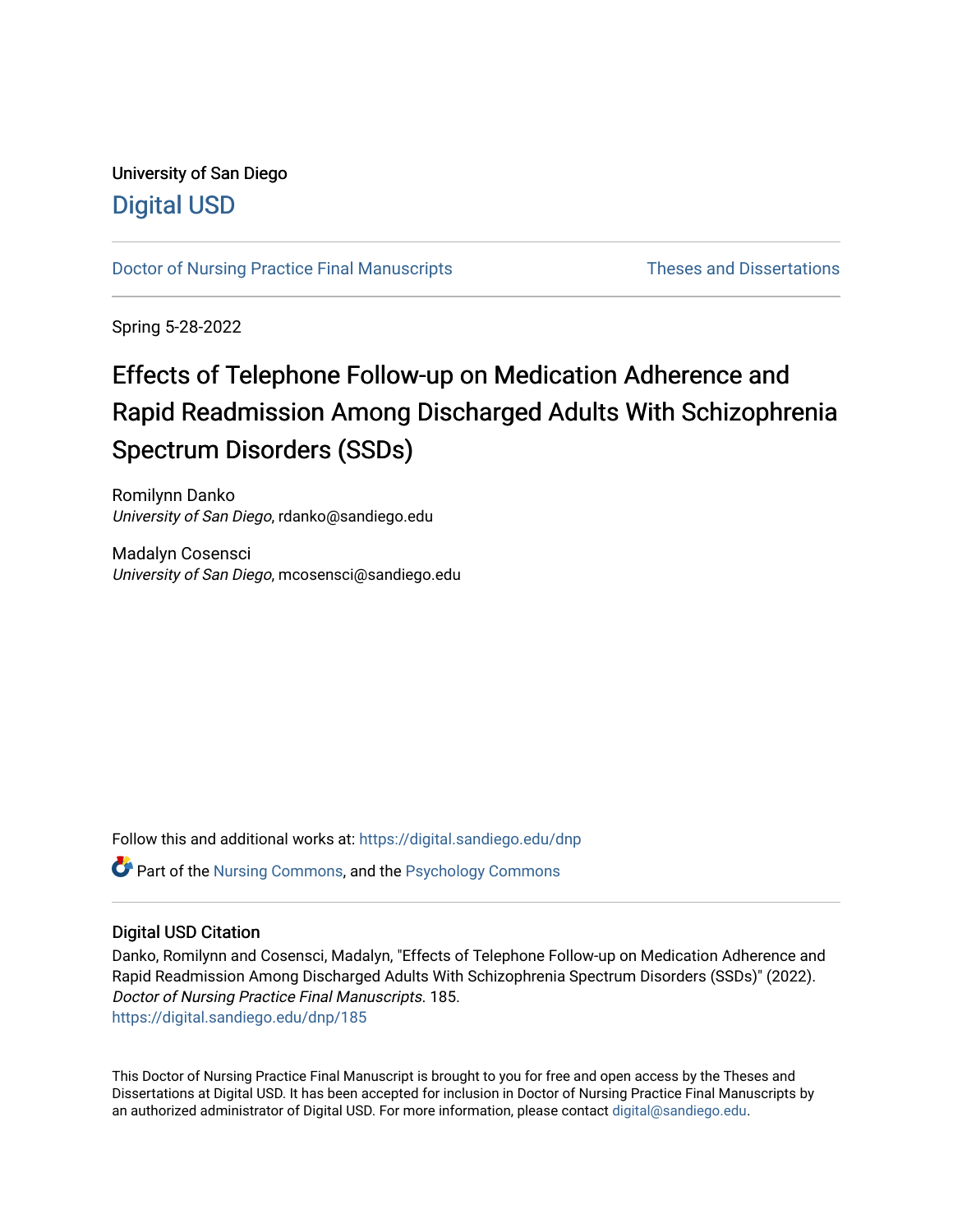# University of San Diego [Digital USD](https://digital.sandiego.edu/)

[Doctor of Nursing Practice Final Manuscripts](https://digital.sandiego.edu/dnp) Theses and Dissertations

Spring 5-28-2022

# Effects of Telephone Follow-up on Medication Adherence and Rapid Readmission Among Discharged Adults With Schizophrenia Spectrum Disorders (SSDs)

Romilynn Danko University of San Diego, rdanko@sandiego.edu

Madalyn Cosensci University of San Diego, mcosensci@sandiego.edu

Follow this and additional works at: [https://digital.sandiego.edu/dnp](https://digital.sandiego.edu/dnp?utm_source=digital.sandiego.edu%2Fdnp%2F185&utm_medium=PDF&utm_campaign=PDFCoverPages) 

Part of the [Nursing Commons,](http://network.bepress.com/hgg/discipline/718?utm_source=digital.sandiego.edu%2Fdnp%2F185&utm_medium=PDF&utm_campaign=PDFCoverPages) and the [Psychology Commons](http://network.bepress.com/hgg/discipline/404?utm_source=digital.sandiego.edu%2Fdnp%2F185&utm_medium=PDF&utm_campaign=PDFCoverPages)

# Digital USD Citation

Danko, Romilynn and Cosensci, Madalyn, "Effects of Telephone Follow-up on Medication Adherence and Rapid Readmission Among Discharged Adults With Schizophrenia Spectrum Disorders (SSDs)" (2022). Doctor of Nursing Practice Final Manuscripts. 185. [https://digital.sandiego.edu/dnp/185](https://digital.sandiego.edu/dnp/185?utm_source=digital.sandiego.edu%2Fdnp%2F185&utm_medium=PDF&utm_campaign=PDFCoverPages) 

This Doctor of Nursing Practice Final Manuscript is brought to you for free and open access by the Theses and Dissertations at Digital USD. It has been accepted for inclusion in Doctor of Nursing Practice Final Manuscripts by an authorized administrator of Digital USD. For more information, please contact [digital@sandiego.edu](mailto:digital@sandiego.edu).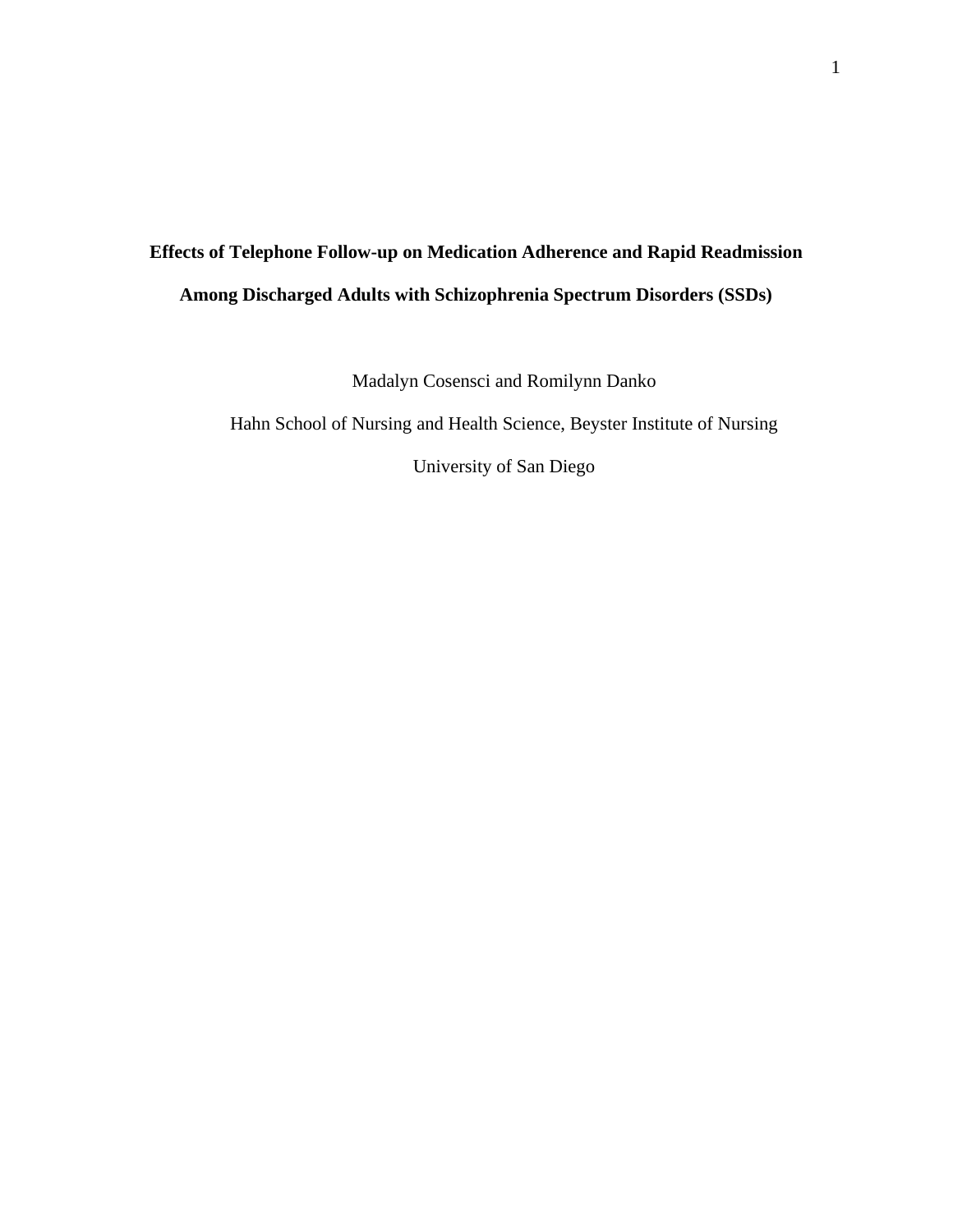# **Effects of Telephone Follow-up on Medication Adherence and Rapid Readmission Among Discharged Adults with Schizophrenia Spectrum Disorders (SSDs)**

Madalyn Cosensci and Romilynn Danko

Hahn School of Nursing and Health Science, Beyster Institute of Nursing

University of San Diego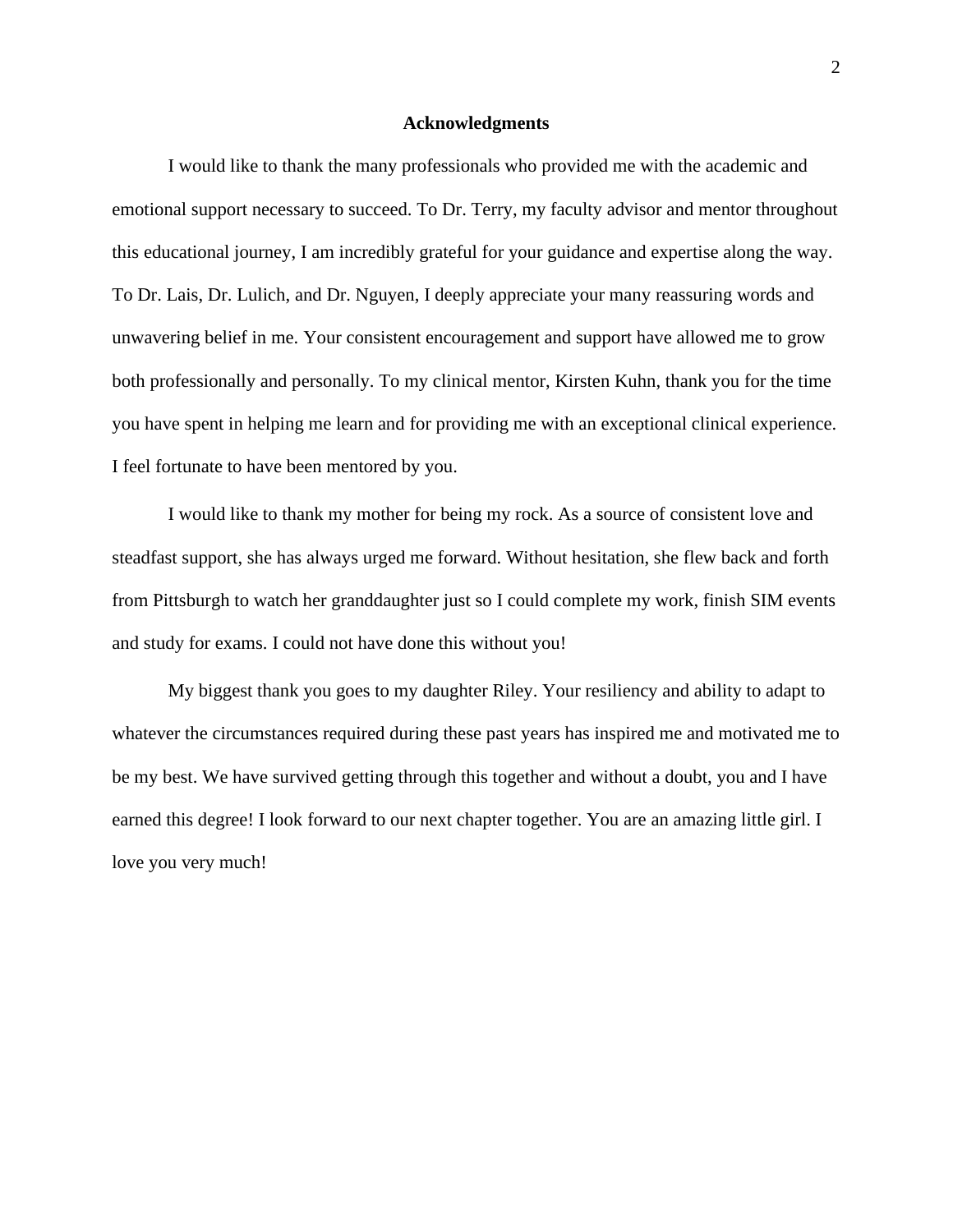#### **Acknowledgments**

I would like to thank the many professionals who provided me with the academic and emotional support necessary to succeed. To Dr. Terry, my faculty advisor and mentor throughout this educational journey, I am incredibly grateful for your guidance and expertise along the way. To Dr. Lais, Dr. Lulich, and Dr. Nguyen, I deeply appreciate your many reassuring words and unwavering belief in me. Your consistent encouragement and support have allowed me to grow both professionally and personally. To my clinical mentor, Kirsten Kuhn, thank you for the time you have spent in helping me learn and for providing me with an exceptional clinical experience. I feel fortunate to have been mentored by you.

I would like to thank my mother for being my rock. As a source of consistent love and steadfast support, she has always urged me forward. Without hesitation, she flew back and forth from Pittsburgh to watch her granddaughter just so I could complete my work, finish SIM events and study for exams. I could not have done this without you!

My biggest thank you goes to my daughter Riley. Your resiliency and ability to adapt to whatever the circumstances required during these past years has inspired me and motivated me to be my best. We have survived getting through this together and without a doubt, you and I have earned this degree! I look forward to our next chapter together. You are an amazing little girl. I love you very much!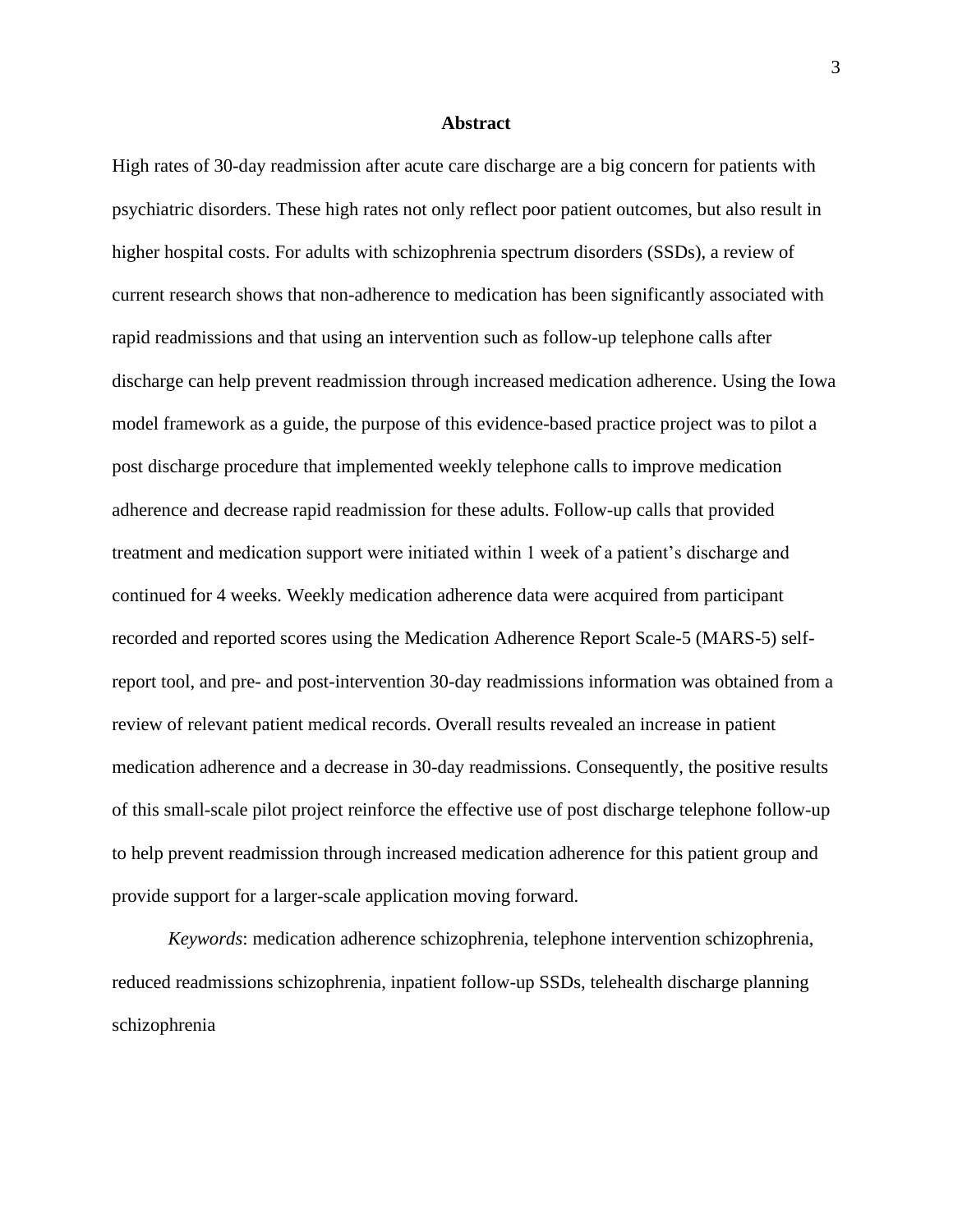## **Abstract**

High rates of 30-day readmission after acute care discharge are a big concern for patients with psychiatric disorders. These high rates not only reflect poor patient outcomes, but also result in higher hospital costs. For adults with schizophrenia spectrum disorders (SSDs), a review of current research shows that non-adherence to medication has been significantly associated with rapid readmissions and that using an intervention such as follow-up telephone calls after discharge can help prevent readmission through increased medication adherence. Using the Iowa model framework as a guide, the purpose of this evidence-based practice project was to pilot a post discharge procedure that implemented weekly telephone calls to improve medication adherence and decrease rapid readmission for these adults. Follow-up calls that provided treatment and medication support were initiated within 1 week of a patient's discharge and continued for 4 weeks. Weekly medication adherence data were acquired from participant recorded and reported scores using the Medication Adherence Report Scale-5 (MARS-5) selfreport tool, and pre- and post-intervention 30-day readmissions information was obtained from a review of relevant patient medical records. Overall results revealed an increase in patient medication adherence and a decrease in 30-day readmissions. Consequently, the positive results of this small-scale pilot project reinforce the effective use of post discharge telephone follow-up to help prevent readmission through increased medication adherence for this patient group and provide support for a larger-scale application moving forward.

*Keywords*: medication adherence schizophrenia, telephone intervention schizophrenia, reduced readmissions schizophrenia, inpatient follow-up SSDs, telehealth discharge planning schizophrenia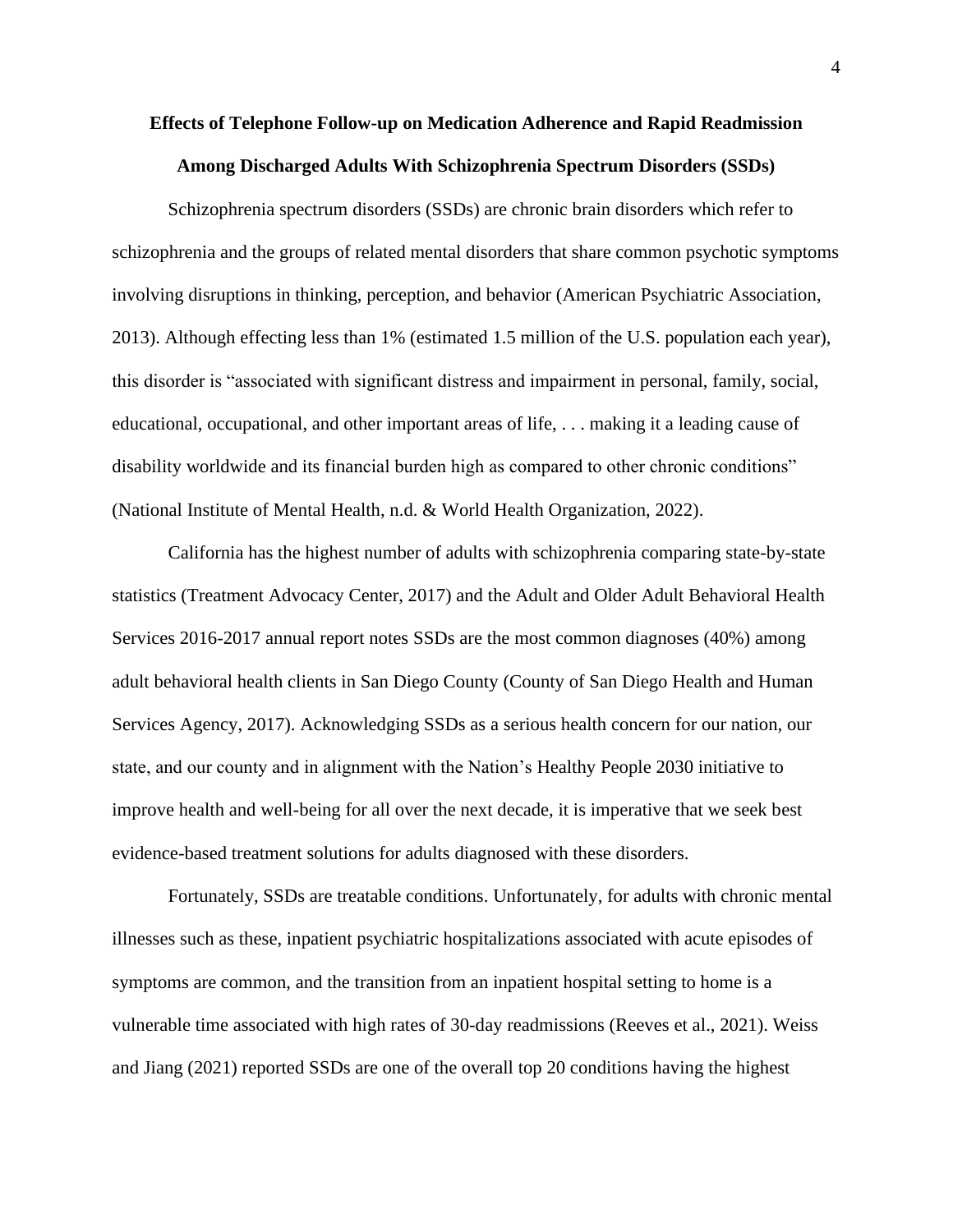# **Effects of Telephone Follow-up on Medication Adherence and Rapid Readmission Among Discharged Adults With Schizophrenia Spectrum Disorders (SSDs)**

Schizophrenia spectrum disorders (SSDs) are chronic brain disorders which refer to schizophrenia and the groups of related mental disorders that share common psychotic symptoms involving disruptions in thinking, perception, and behavior (American Psychiatric Association, 2013). Although effecting less than 1% (estimated 1.5 million of the U.S. population each year), this disorder is "associated with significant distress and impairment in personal, family, social, educational, occupational, and other important areas of life, . . . making it a leading cause of disability worldwide and its financial burden high as compared to other chronic conditions" (National Institute of Mental Health, n.d. & World Health Organization, 2022).

California has the highest number of adults with schizophrenia comparing state-by-state statistics (Treatment Advocacy Center, 2017) and the Adult and Older Adult Behavioral Health Services 2016-2017 annual report notes SSDs are the most common diagnoses (40%) among adult behavioral health clients in San Diego County (County of San Diego Health and Human Services Agency, 2017). Acknowledging SSDs as a serious health concern for our nation, our state, and our county and in alignment with the Nation's Healthy People 2030 initiative to improve health and well-being for all over the next decade, it is imperative that we seek best evidence-based treatment solutions for adults diagnosed with these disorders.

Fortunately, SSDs are treatable conditions. Unfortunately, for adults with chronic mental illnesses such as these, inpatient psychiatric hospitalizations associated with acute episodes of symptoms are common, and the transition from an inpatient hospital setting to home is a vulnerable time associated with high rates of 30-day readmissions (Reeves et al., 2021). Weiss and Jiang (2021) reported SSDs are one of the overall top 20 conditions having the highest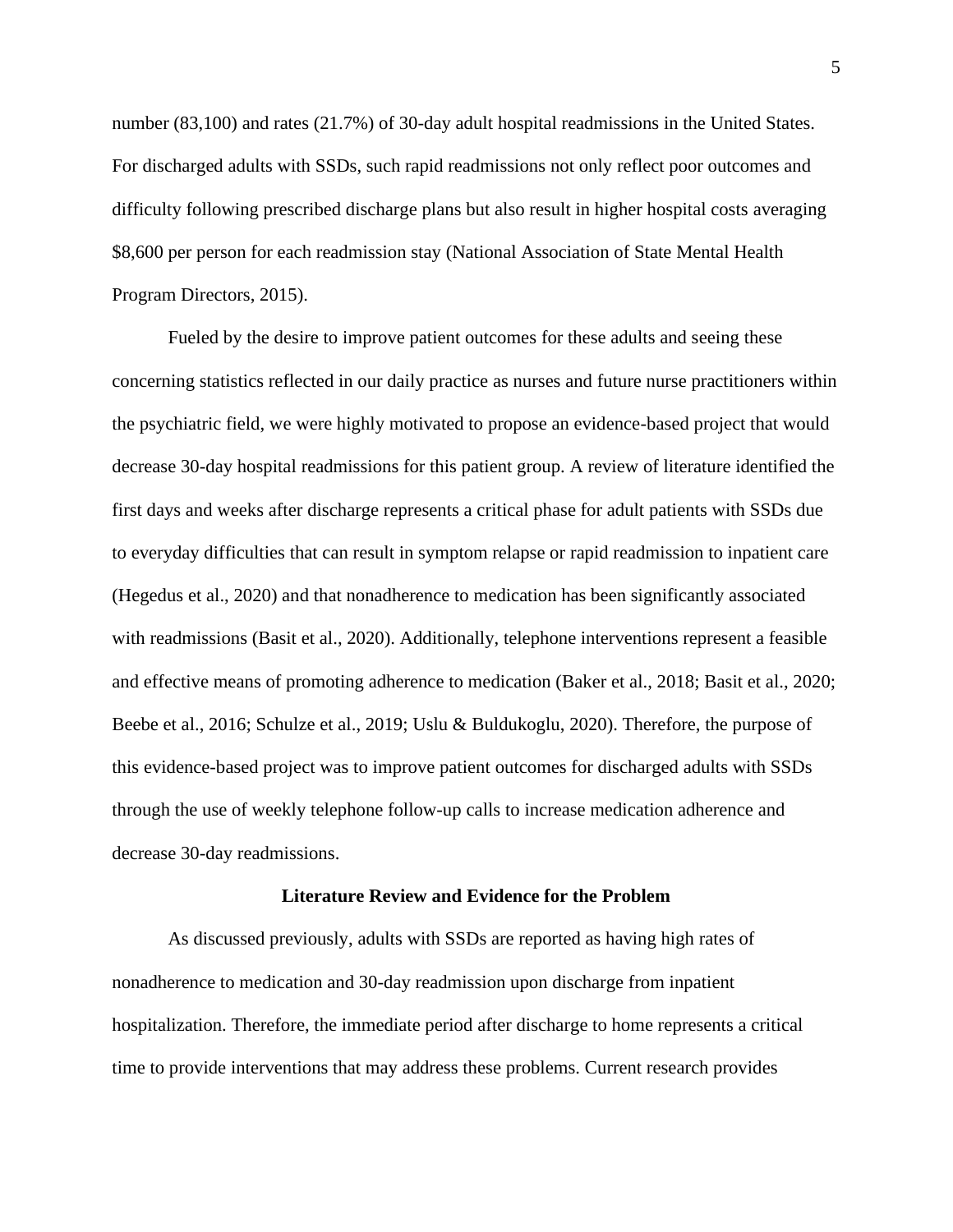number (83,100) and rates (21.7%) of 30-day adult hospital readmissions in the United States. For discharged adults with SSDs, such rapid readmissions not only reflect poor outcomes and difficulty following prescribed discharge plans but also result in higher hospital costs averaging \$8,600 per person for each readmission stay (National Association of State Mental Health Program Directors, 2015).

Fueled by the desire to improve patient outcomes for these adults and seeing these concerning statistics reflected in our daily practice as nurses and future nurse practitioners within the psychiatric field, we were highly motivated to propose an evidence-based project that would decrease 30-day hospital readmissions for this patient group. A review of literature identified the first days and weeks after discharge represents a critical phase for adult patients with SSDs due to everyday difficulties that can result in symptom relapse or rapid readmission to inpatient care (Hegedus et al., 2020) and that nonadherence to medication has been significantly associated with readmissions (Basit et al., 2020). Additionally, telephone interventions represent a feasible and effective means of promoting adherence to medication (Baker et al., 2018; Basit et al., 2020; Beebe et al., 2016; Schulze et al., 2019; Uslu & Buldukoglu, 2020). Therefore, the purpose of this evidence-based project was to improve patient outcomes for discharged adults with SSDs through the use of weekly telephone follow-up calls to increase medication adherence and decrease 30-day readmissions.

#### **Literature Review and Evidence for the Problem**

As discussed previously, adults with SSDs are reported as having high rates of nonadherence to medication and 30-day readmission upon discharge from inpatient hospitalization. Therefore, the immediate period after discharge to home represents a critical time to provide interventions that may address these problems. Current research provides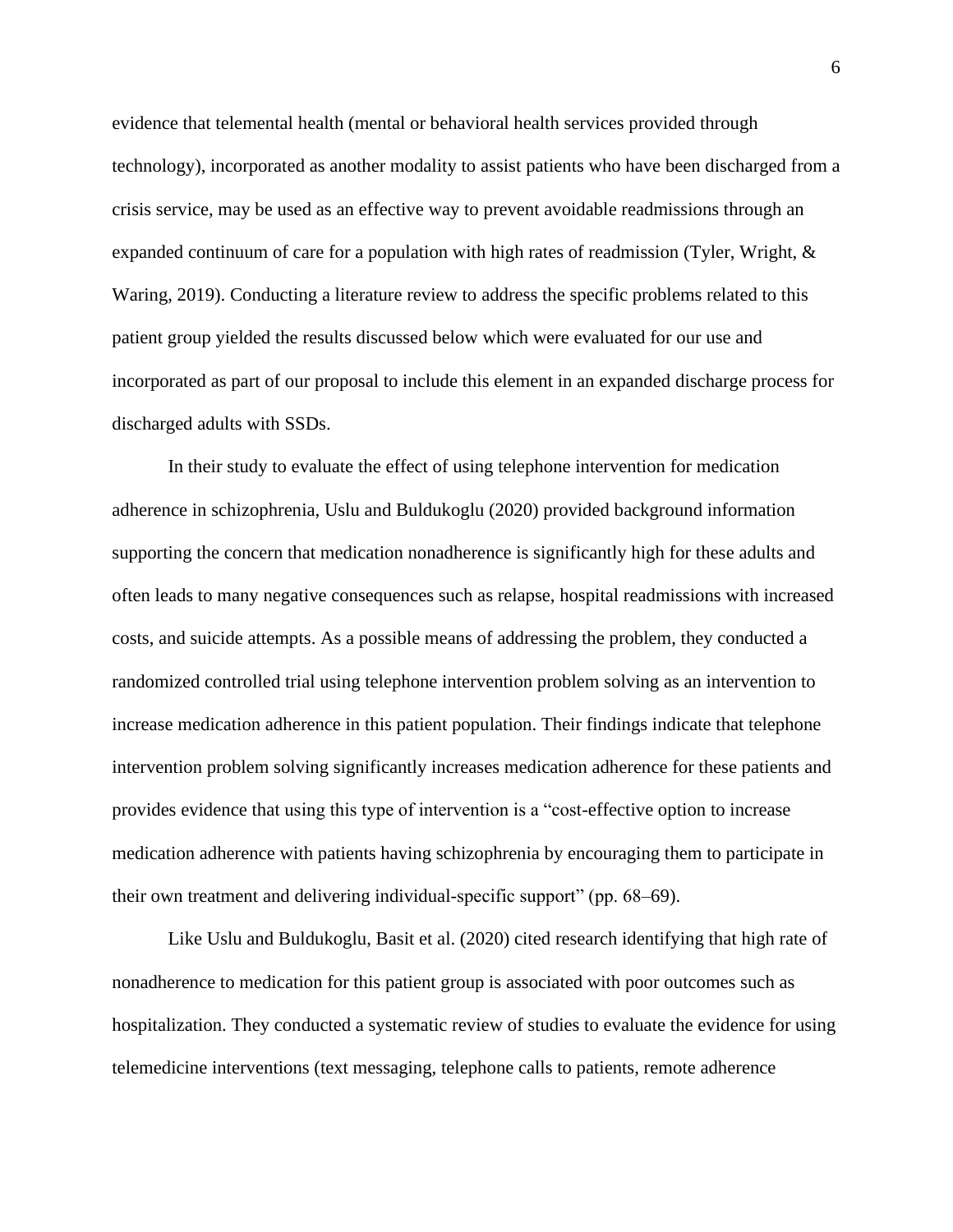evidence that telemental health (mental or behavioral health services provided through technology), incorporated as another modality to assist patients who have been discharged from a crisis service, may be used as an effective way to prevent avoidable readmissions through an expanded continuum of care for a population with high rates of readmission (Tyler, Wright, & Waring, 2019). Conducting a literature review to address the specific problems related to this patient group yielded the results discussed below which were evaluated for our use and incorporated as part of our proposal to include this element in an expanded discharge process for discharged adults with SSDs.

In their study to evaluate the effect of using telephone intervention for medication adherence in schizophrenia, Uslu and Buldukoglu (2020) provided background information supporting the concern that medication nonadherence is significantly high for these adults and often leads to many negative consequences such as relapse, hospital readmissions with increased costs, and suicide attempts. As a possible means of addressing the problem, they conducted a randomized controlled trial using telephone intervention problem solving as an intervention to increase medication adherence in this patient population. Their findings indicate that telephone intervention problem solving significantly increases medication adherence for these patients and provides evidence that using this type of intervention is a "cost-effective option to increase medication adherence with patients having schizophrenia by encouraging them to participate in their own treatment and delivering individual-specific support" (pp. 68–69).

Like Uslu and Buldukoglu, Basit et al. (2020) cited research identifying that high rate of nonadherence to medication for this patient group is associated with poor outcomes such as hospitalization. They conducted a systematic review of studies to evaluate the evidence for using telemedicine interventions (text messaging, telephone calls to patients, remote adherence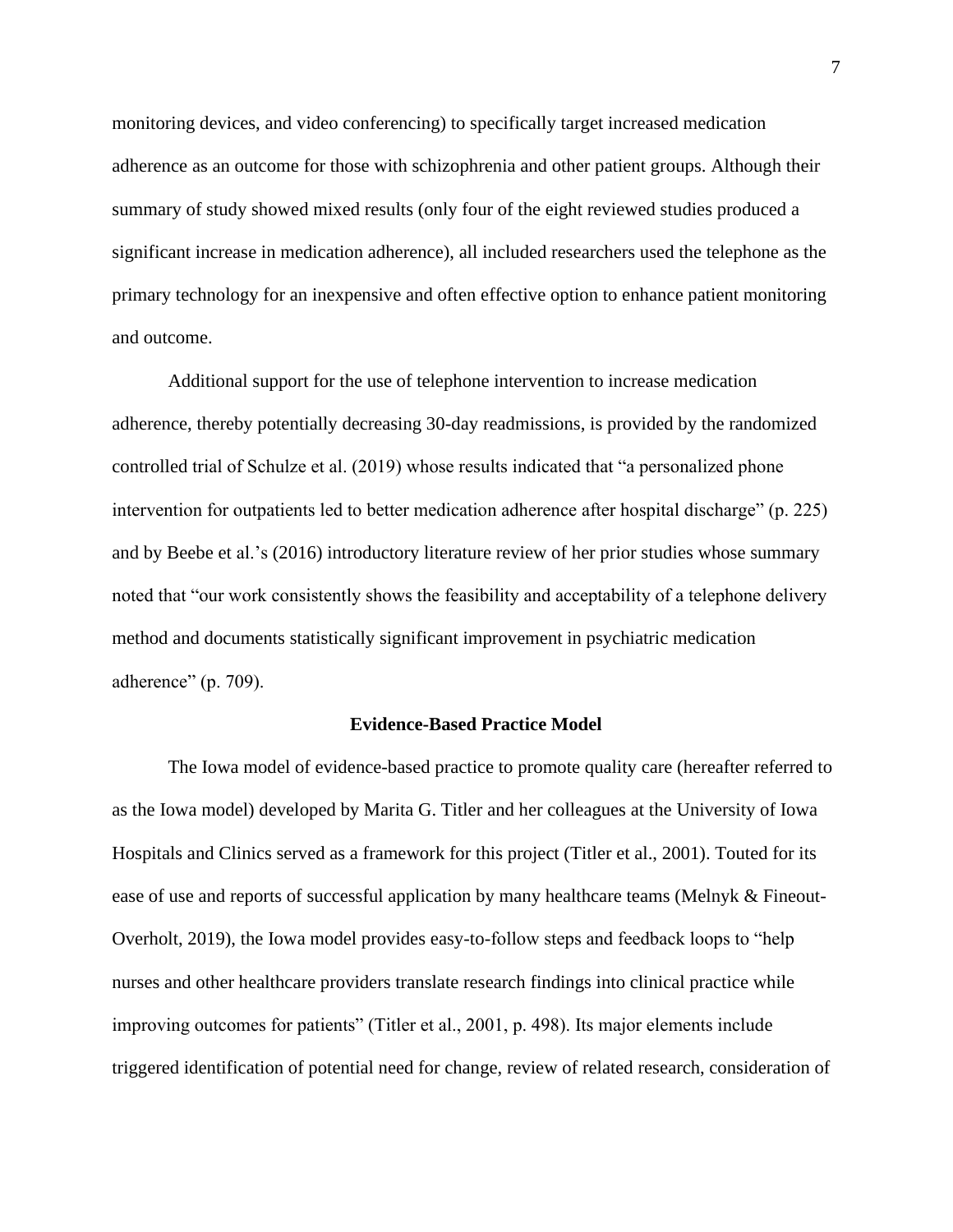monitoring devices, and video conferencing) to specifically target increased medication adherence as an outcome for those with schizophrenia and other patient groups. Although their summary of study showed mixed results (only four of the eight reviewed studies produced a significant increase in medication adherence), all included researchers used the telephone as the primary technology for an inexpensive and often effective option to enhance patient monitoring and outcome.

Additional support for the use of telephone intervention to increase medication adherence, thereby potentially decreasing 30-day readmissions, is provided by the randomized controlled trial of Schulze et al. (2019) whose results indicated that "a personalized phone intervention for outpatients led to better medication adherence after hospital discharge" (p. 225) and by Beebe et al.'s (2016) introductory literature review of her prior studies whose summary noted that "our work consistently shows the feasibility and acceptability of a telephone delivery method and documents statistically significant improvement in psychiatric medication adherence" (p. 709).

#### **Evidence-Based Practice Model**

The Iowa model of evidence-based practice to promote quality care (hereafter referred to as the Iowa model) developed by Marita G. Titler and her colleagues at the University of Iowa Hospitals and Clinics served as a framework for this project (Titler et al., 2001). Touted for its ease of use and reports of successful application by many healthcare teams (Melnyk & Fineout-Overholt, 2019), the Iowa model provides easy-to-follow steps and feedback loops to "help nurses and other healthcare providers translate research findings into clinical practice while improving outcomes for patients" (Titler et al., 2001, p. 498). Its major elements include triggered identification of potential need for change, review of related research, consideration of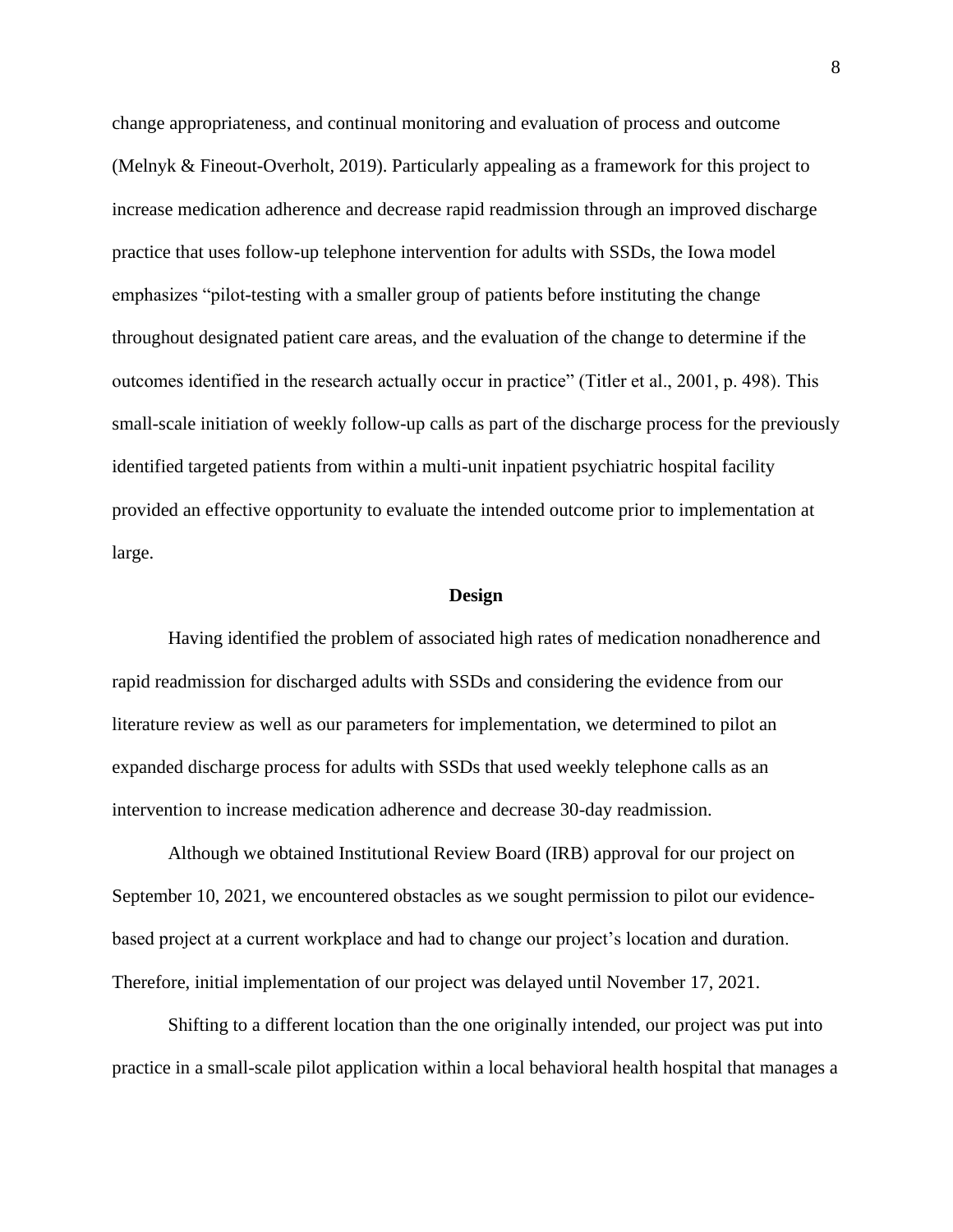change appropriateness, and continual monitoring and evaluation of process and outcome (Melnyk & Fineout-Overholt, 2019). Particularly appealing as a framework for this project to increase medication adherence and decrease rapid readmission through an improved discharge practice that uses follow-up telephone intervention for adults with SSDs, the Iowa model emphasizes "pilot-testing with a smaller group of patients before instituting the change throughout designated patient care areas, and the evaluation of the change to determine if the outcomes identified in the research actually occur in practice" (Titler et al., 2001, p. 498). This small-scale initiation of weekly follow-up calls as part of the discharge process for the previously identified targeted patients from within a multi-unit inpatient psychiatric hospital facility provided an effective opportunity to evaluate the intended outcome prior to implementation at large.

#### **Design**

Having identified the problem of associated high rates of medication nonadherence and rapid readmission for discharged adults with SSDs and considering the evidence from our literature review as well as our parameters for implementation, we determined to pilot an expanded discharge process for adults with SSDs that used weekly telephone calls as an intervention to increase medication adherence and decrease 30-day readmission.

Although we obtained Institutional Review Board (IRB) approval for our project on September 10, 2021, we encountered obstacles as we sought permission to pilot our evidencebased project at a current workplace and had to change our project's location and duration. Therefore, initial implementation of our project was delayed until November 17, 2021.

Shifting to a different location than the one originally intended, our project was put into practice in a small-scale pilot application within a local behavioral health hospital that manages a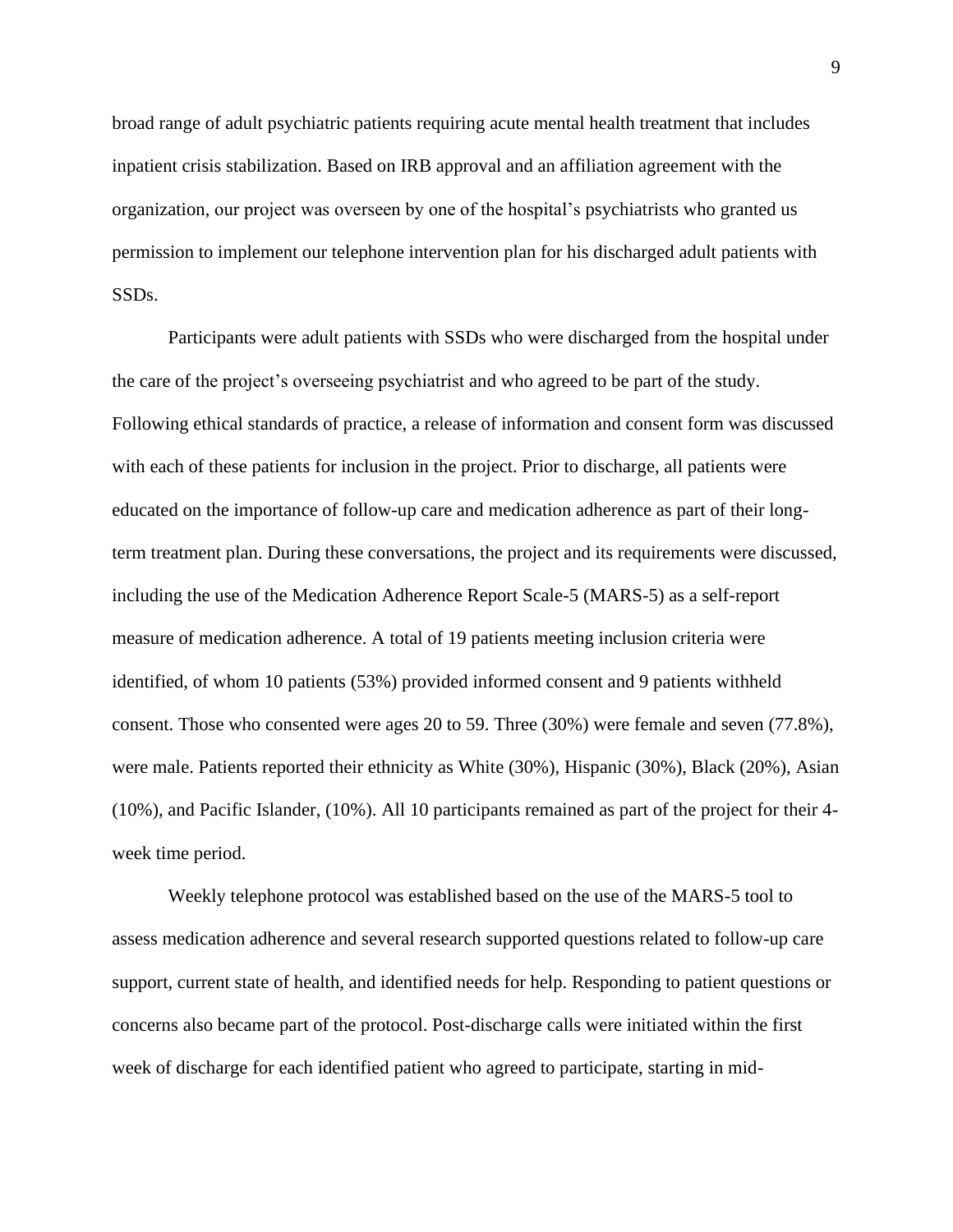broad range of adult psychiatric patients requiring acute mental health treatment that includes inpatient crisis stabilization. Based on IRB approval and an affiliation agreement with the organization, our project was overseen by one of the hospital's psychiatrists who granted us permission to implement our telephone intervention plan for his discharged adult patients with SSDs.

Participants were adult patients with SSDs who were discharged from the hospital under the care of the project's overseeing psychiatrist and who agreed to be part of the study. Following ethical standards of practice, a release of information and consent form was discussed with each of these patients for inclusion in the project. Prior to discharge, all patients were educated on the importance of follow-up care and medication adherence as part of their longterm treatment plan. During these conversations, the project and its requirements were discussed, including the use of the Medication Adherence Report Scale-5 (MARS-5) as a self-report measure of medication adherence. A total of 19 patients meeting inclusion criteria were identified, of whom 10 patients (53%) provided informed consent and 9 patients withheld consent. Those who consented were ages 20 to 59. Three (30%) were female and seven (77.8%), were male. Patients reported their ethnicity as White (30%), Hispanic (30%), Black (20%), Asian (10%), and Pacific Islander, (10%). All 10 participants remained as part of the project for their 4 week time period.

Weekly telephone protocol was established based on the use of the MARS-5 tool to assess medication adherence and several research supported questions related to follow-up care support, current state of health, and identified needs for help. Responding to patient questions or concerns also became part of the protocol. Post-discharge calls were initiated within the first week of discharge for each identified patient who agreed to participate, starting in mid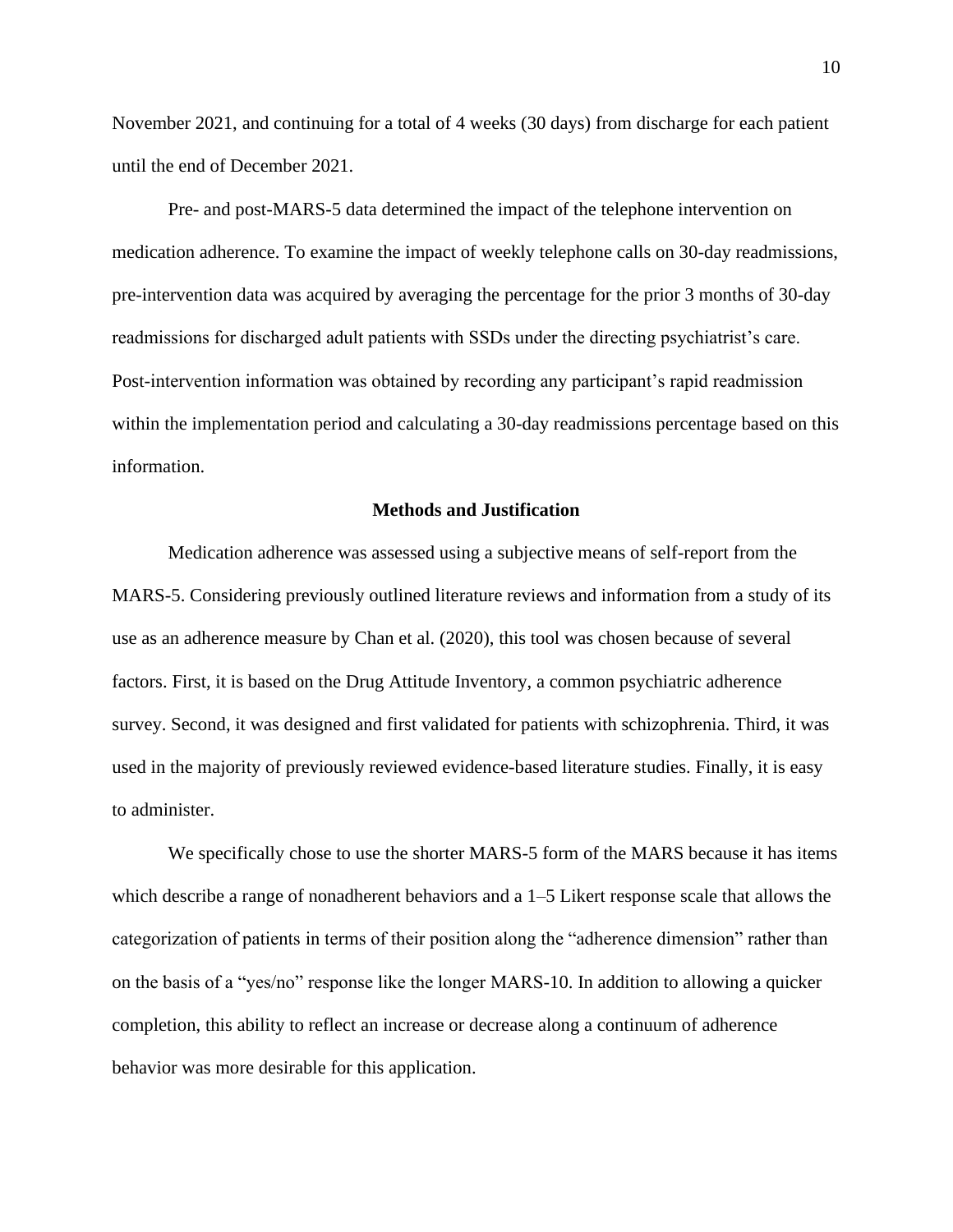November 2021, and continuing for a total of 4 weeks (30 days) from discharge for each patient until the end of December 2021.

Pre- and post-MARS-5 data determined the impact of the telephone intervention on medication adherence. To examine the impact of weekly telephone calls on 30-day readmissions, pre-intervention data was acquired by averaging the percentage for the prior 3 months of 30-day readmissions for discharged adult patients with SSDs under the directing psychiatrist's care. Post-intervention information was obtained by recording any participant's rapid readmission within the implementation period and calculating a 30-day readmissions percentage based on this information.

## **Methods and Justification**

Medication adherence was assessed using a subjective means of self-report from the MARS-5. Considering previously outlined literature reviews and information from a study of its use as an adherence measure by Chan et al. (2020), this tool was chosen because of several factors. First, it is based on the Drug Attitude Inventory, a common psychiatric adherence survey. Second, it was designed and first validated for patients with schizophrenia. Third, it was used in the majority of previously reviewed evidence-based literature studies. Finally, it is easy to administer.

We specifically chose to use the shorter MARS-5 form of the MARS because it has items which describe a range of nonadherent behaviors and a 1–5 Likert response scale that allows the categorization of patients in terms of their position along the "adherence dimension" rather than on the basis of a "yes/no" response like the longer MARS-10. In addition to allowing a quicker completion, this ability to reflect an increase or decrease along a continuum of adherence behavior was more desirable for this application.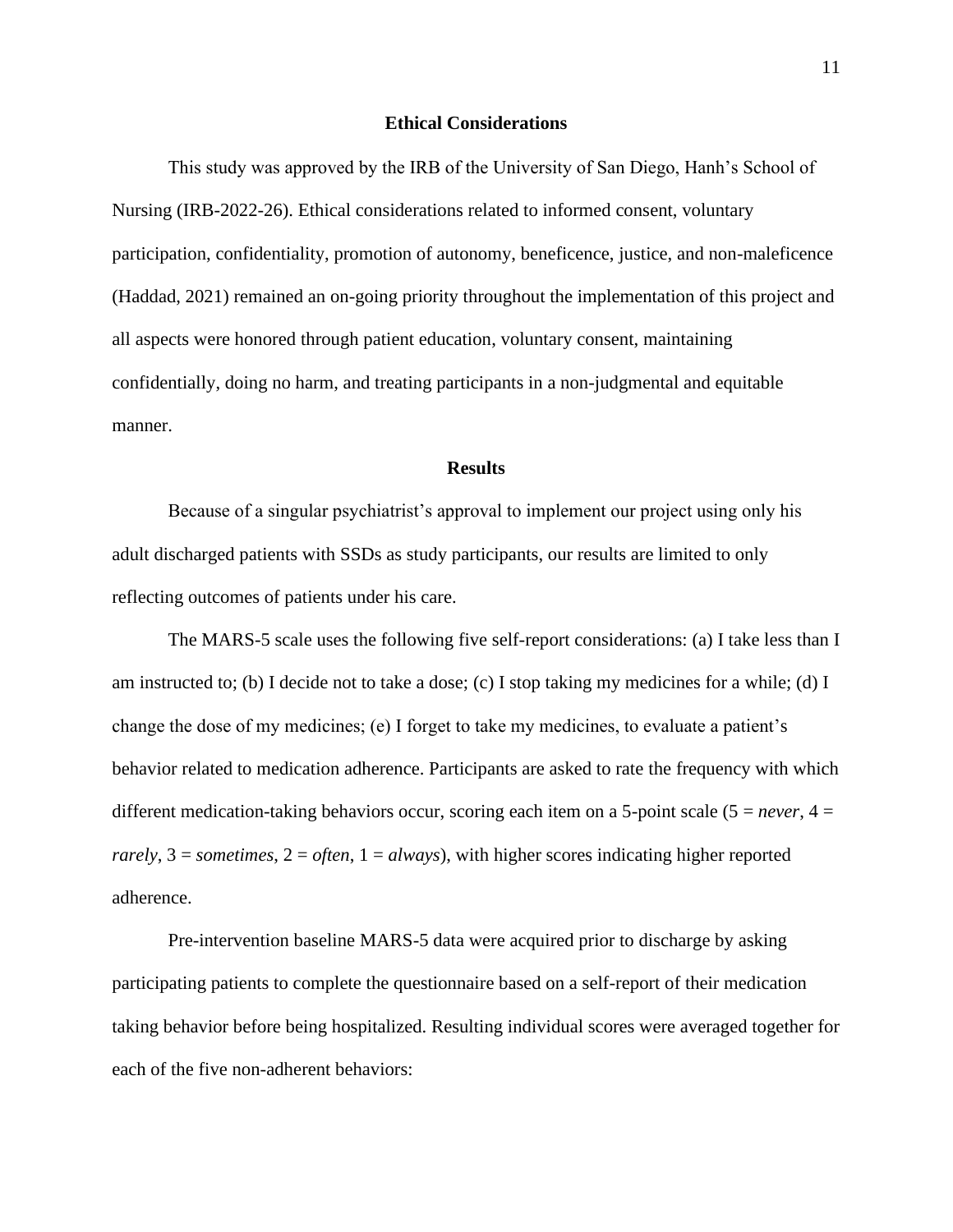# **Ethical Considerations**

This study was approved by the IRB of the University of San Diego, Hanh's School of Nursing (IRB-2022-26). Ethical considerations related to informed consent, voluntary participation, confidentiality, promotion of autonomy, beneficence, justice, and non-maleficence (Haddad, 2021) remained an on-going priority throughout the implementation of this project and all aspects were honored through patient education, voluntary consent, maintaining confidentially, doing no harm, and treating participants in a non-judgmental and equitable manner.

# **Results**

Because of a singular psychiatrist's approval to implement our project using only his adult discharged patients with SSDs as study participants, our results are limited to only reflecting outcomes of patients under his care.

The MARS-5 scale uses the following five self-report considerations: (a) I take less than I am instructed to; (b) I decide not to take a dose; (c) I stop taking my medicines for a while; (d) I change the dose of my medicines; (e) I forget to take my medicines, to evaluate a patient's behavior related to medication adherence. Participants are asked to rate the frequency with which different medication-taking behaviors occur, scoring each item on a 5-point scale ( $5 = never$ ,  $4 =$  $rarely, 3 =$  *sometimes*,  $2 =$  *often*,  $1 =$  *always*), with higher scores indicating higher reported adherence.

Pre-intervention baseline MARS-5 data were acquired prior to discharge by asking participating patients to complete the questionnaire based on a self-report of their medication taking behavior before being hospitalized. Resulting individual scores were averaged together for each of the five non-adherent behaviors: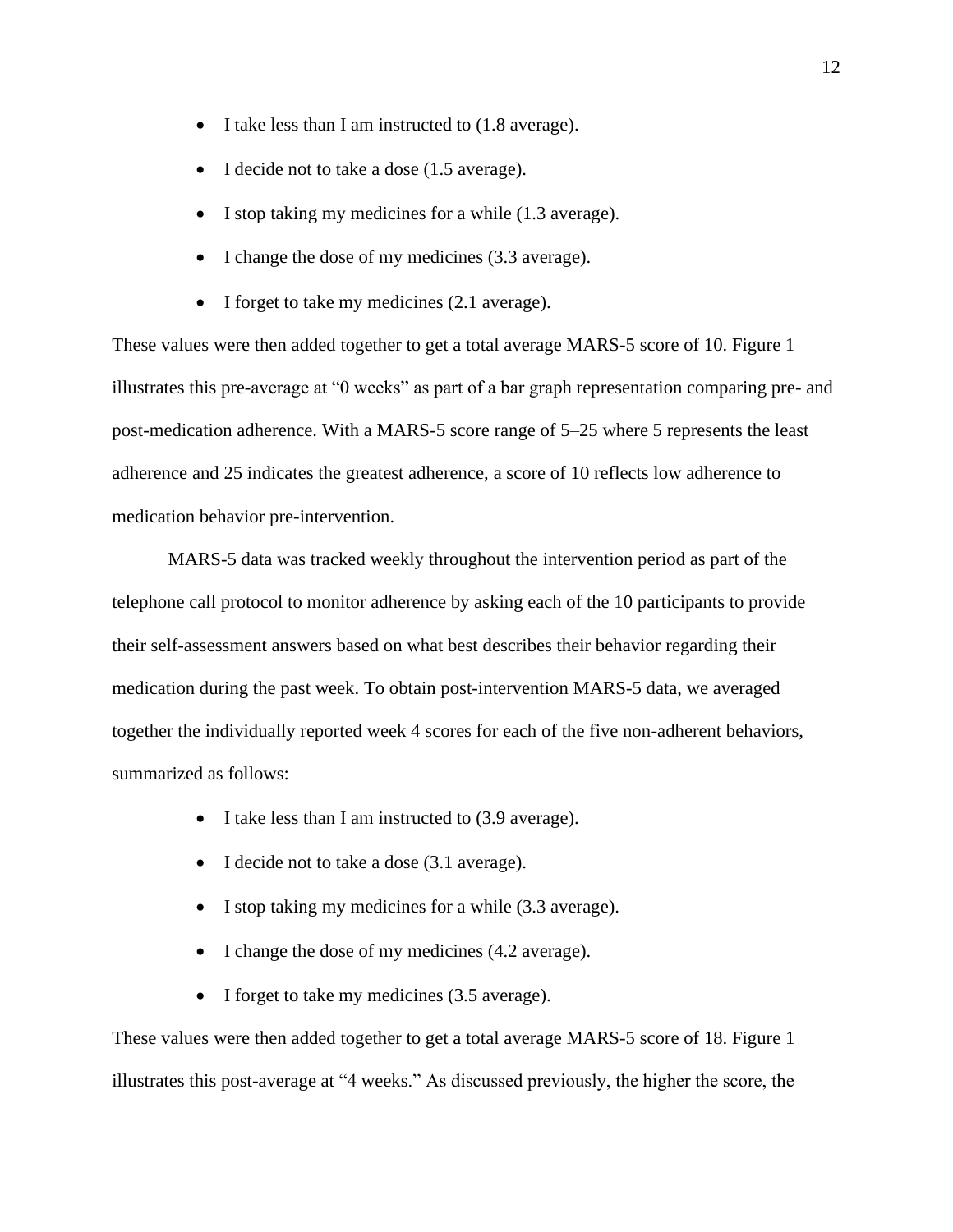- I take less than I am instructed to  $(1.8 \text{ average})$ .
- I decide not to take a dose (1.5 average).
- I stop taking my medicines for a while  $(1.3 \text{ average})$ .
- I change the dose of my medicines (3.3 average).
- I forget to take my medicines (2.1 average).

These values were then added together to get a total average MARS-5 score of 10. Figure 1 illustrates this pre-average at "0 weeks" as part of a bar graph representation comparing pre- and post-medication adherence. With a MARS-5 score range of 5–25 where 5 represents the least adherence and 25 indicates the greatest adherence, a score of 10 reflects low adherence to medication behavior pre-intervention.

MARS-5 data was tracked weekly throughout the intervention period as part of the telephone call protocol to monitor adherence by asking each of the 10 participants to provide their self-assessment answers based on what best describes their behavior regarding their medication during the past week. To obtain post-intervention MARS-5 data, we averaged together the individually reported week 4 scores for each of the five non-adherent behaviors, summarized as follows:

- I take less than I am instructed to (3.9 average).
- I decide not to take a dose (3.1 average).
- I stop taking my medicines for a while (3.3 average).
- I change the dose of my medicines (4.2 average).
- I forget to take my medicines (3.5 average).

These values were then added together to get a total average MARS-5 score of 18. Figure 1 illustrates this post-average at "4 weeks." As discussed previously, the higher the score, the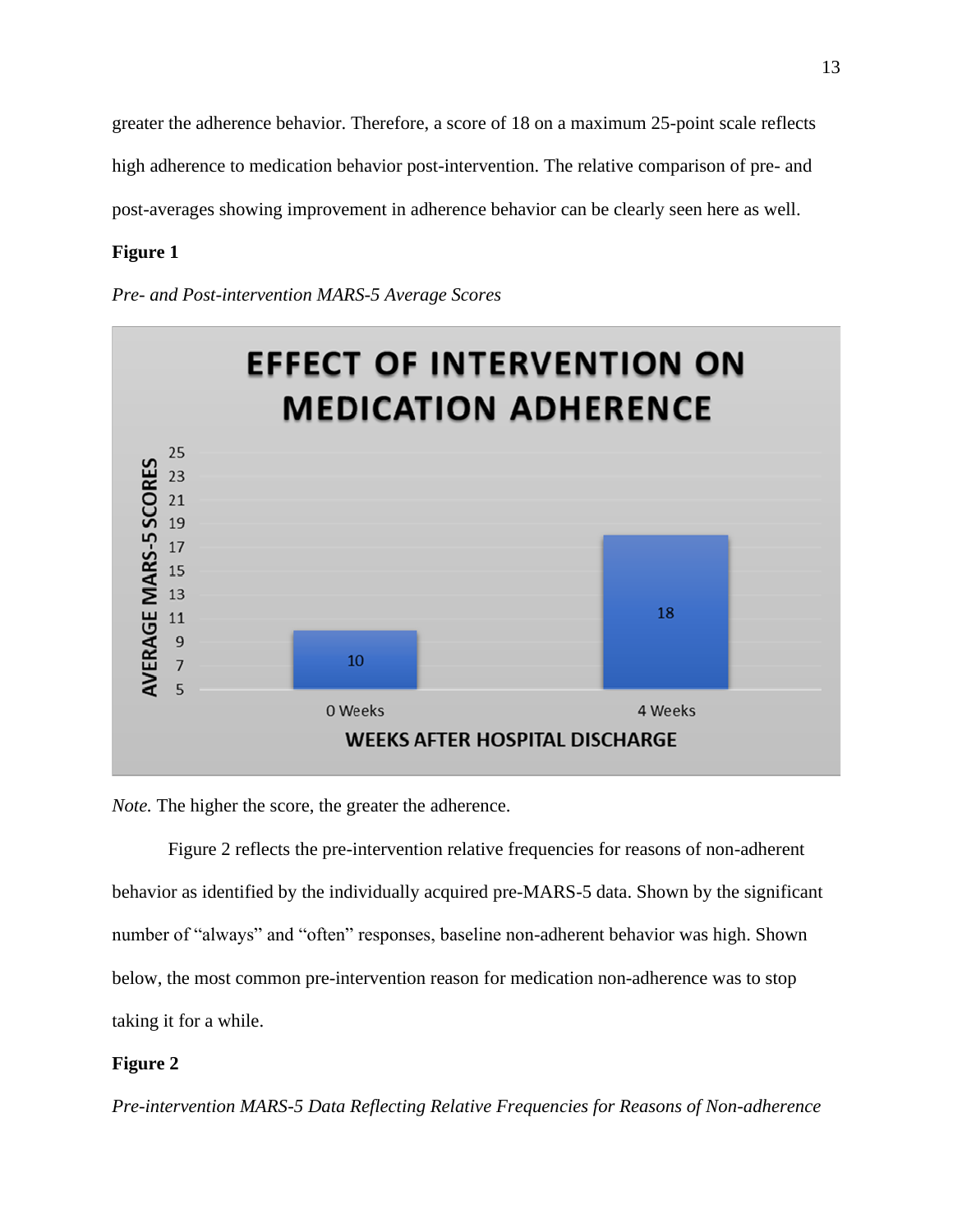greater the adherence behavior. Therefore, a score of 18 on a maximum 25-point scale reflects high adherence to medication behavior post-intervention. The relative comparison of pre- and post-averages showing improvement in adherence behavior can be clearly seen here as well.

# **Figure 1**

*Pre- and Post-intervention MARS-5 Average Scores* 



*Note*. The higher the score, the greater the adherence.

Figure 2 reflects the pre-intervention relative frequencies for reasons of non-adherent behavior as identified by the individually acquired pre-MARS-5 data. Shown by the significant number of "always" and "often" responses, baseline non-adherent behavior was high. Shown below, the most common pre-intervention reason for medication non-adherence was to stop taking it for a while.

# **Figure 2**

*Pre-intervention MARS-5 Data Reflecting Relative Frequencies for Reasons of Non-adherence*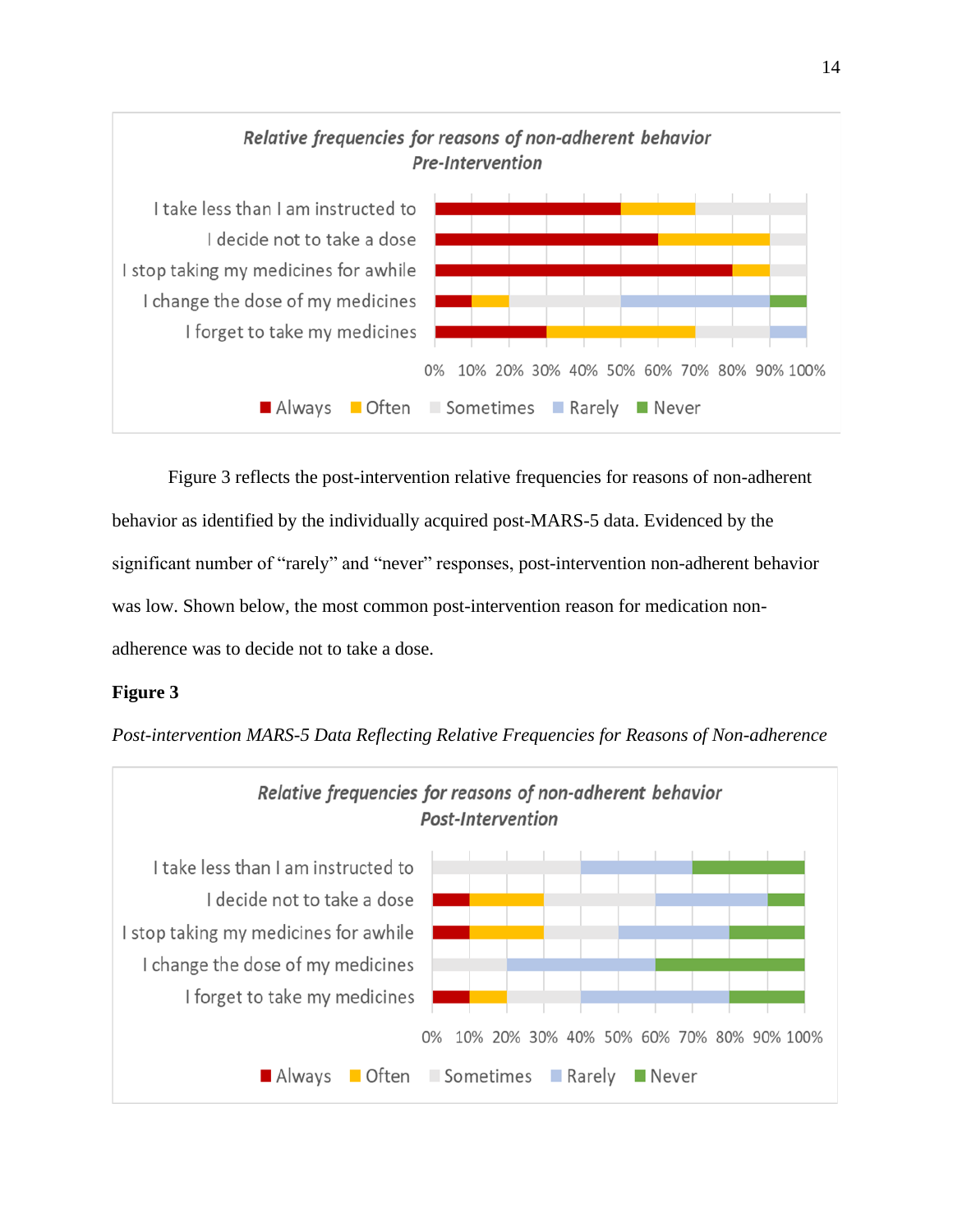

Figure 3 reflects the post-intervention relative frequencies for reasons of non-adherent behavior as identified by the individually acquired post-MARS-5 data. Evidenced by the significant number of "rarely" and "never" responses, post-intervention non-adherent behavior was low. Shown below, the most common post-intervention reason for medication nonadherence was to decide not to take a dose.

# **Figure 3**

*Post-intervention MARS-5 Data Reflecting Relative Frequencies for Reasons of Non-adherence*

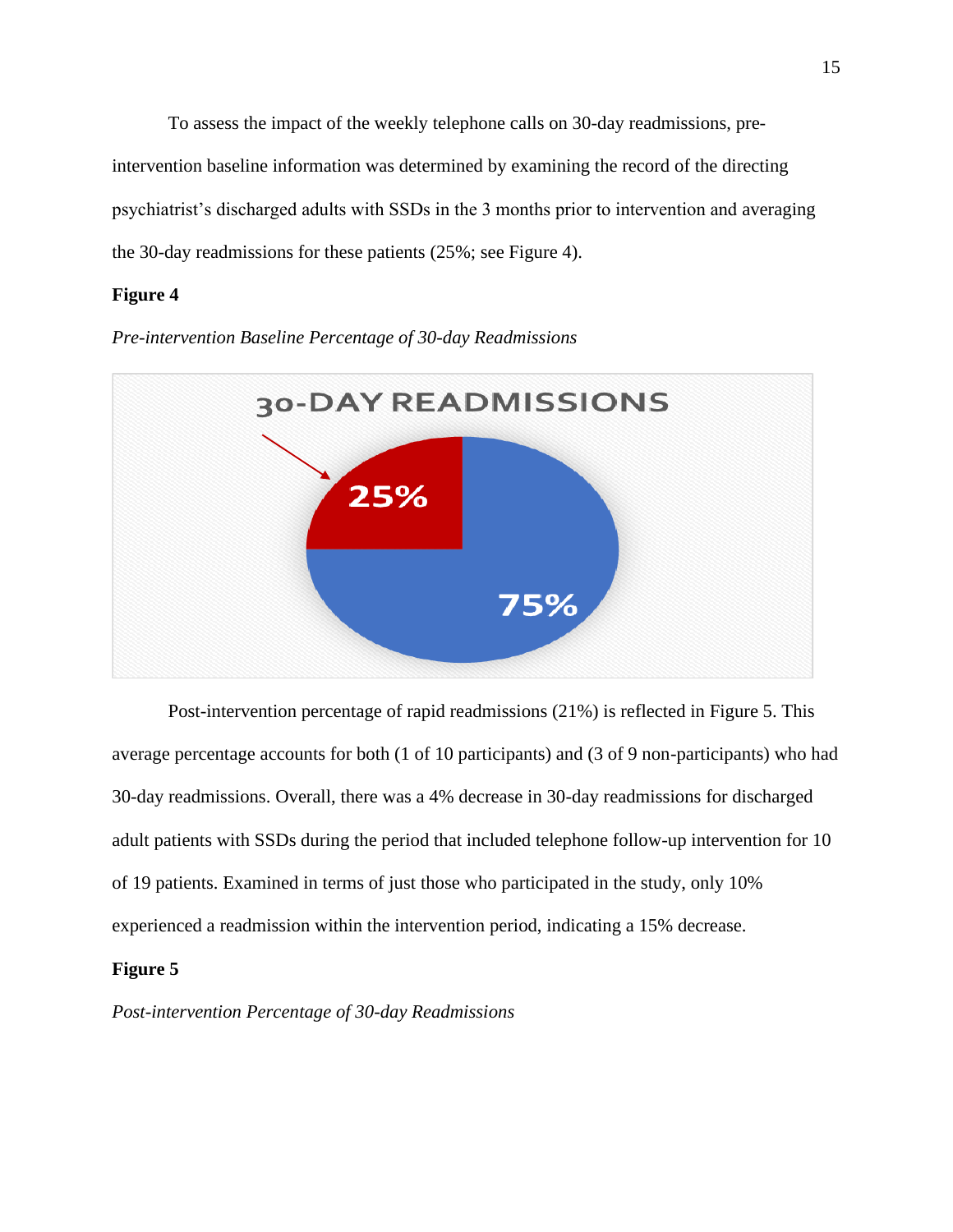To assess the impact of the weekly telephone calls on 30-day readmissions, preintervention baseline information was determined by examining the record of the directing psychiatrist's discharged adults with SSDs in the 3 months prior to intervention and averaging the 30-day readmissions for these patients (25%; see Figure 4).

# **Figure 4**

*Pre-intervention Baseline Percentage of 30-day Readmissions*



Post-intervention percentage of rapid readmissions (21%) is reflected in Figure 5. This average percentage accounts for both (1 of 10 participants) and (3 of 9 non-participants) who had 30-day readmissions. Overall, there was a 4% decrease in 30-day readmissions for discharged adult patients with SSDs during the period that included telephone follow-up intervention for 10 of 19 patients. Examined in terms of just those who participated in the study, only 10% experienced a readmission within the intervention period, indicating a 15% decrease.

# **Figure 5**

*Post-intervention Percentage of 30-day Readmissions*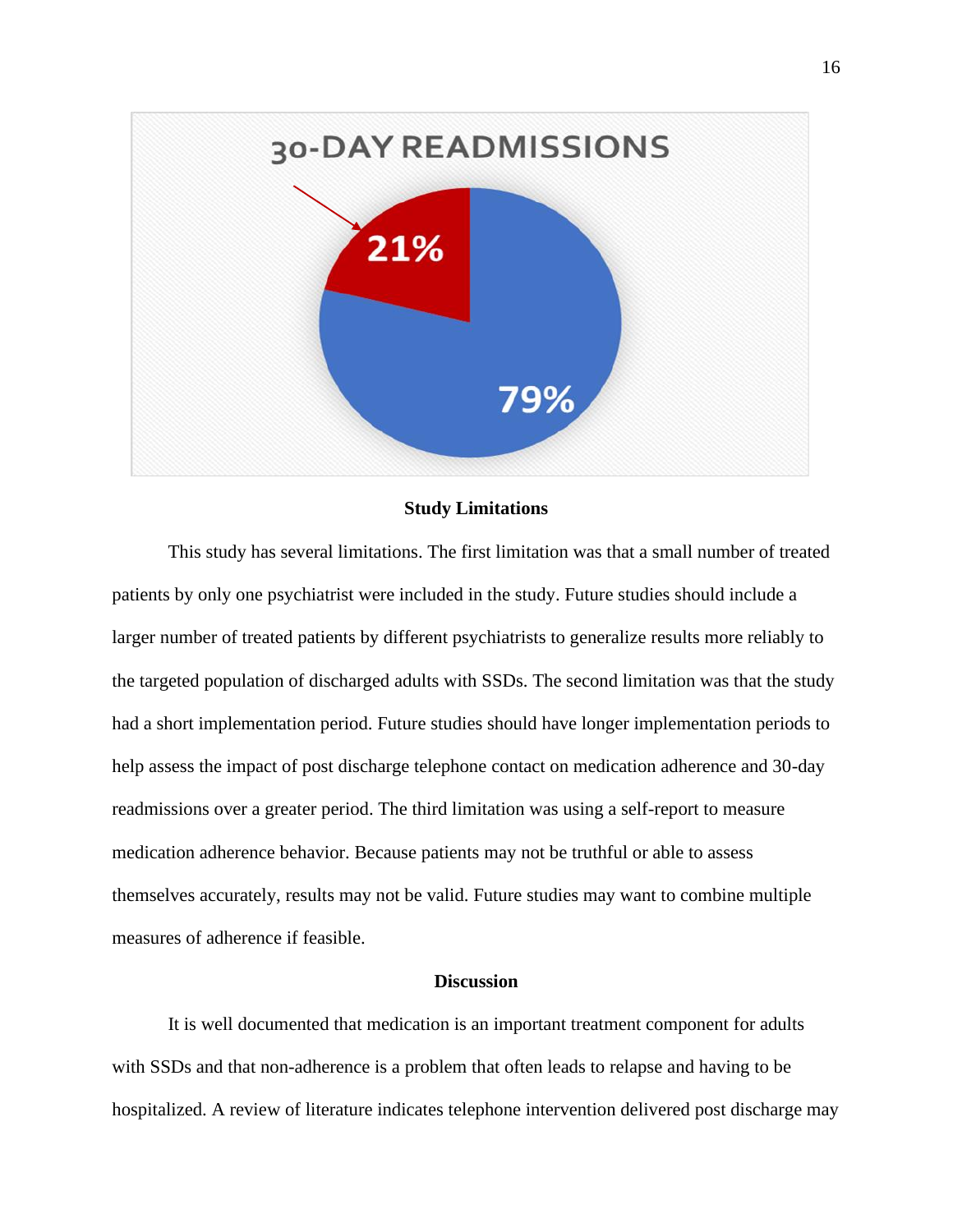

# **Study Limitations**

This study has several limitations. The first limitation was that a small number of treated patients by only one psychiatrist were included in the study. Future studies should include a larger number of treated patients by different psychiatrists to generalize results more reliably to the targeted population of discharged adults with SSDs. The second limitation was that the study had a short implementation period. Future studies should have longer implementation periods to help assess the impact of post discharge telephone contact on medication adherence and 30-day readmissions over a greater period. The third limitation was using a self-report to measure medication adherence behavior. Because patients may not be truthful or able to assess themselves accurately, results may not be valid. Future studies may want to combine multiple measures of adherence if feasible.

## **Discussion**

It is well documented that medication is an important treatment component for adults with SSDs and that non-adherence is a problem that often leads to relapse and having to be hospitalized. A review of literature indicates telephone intervention delivered post discharge may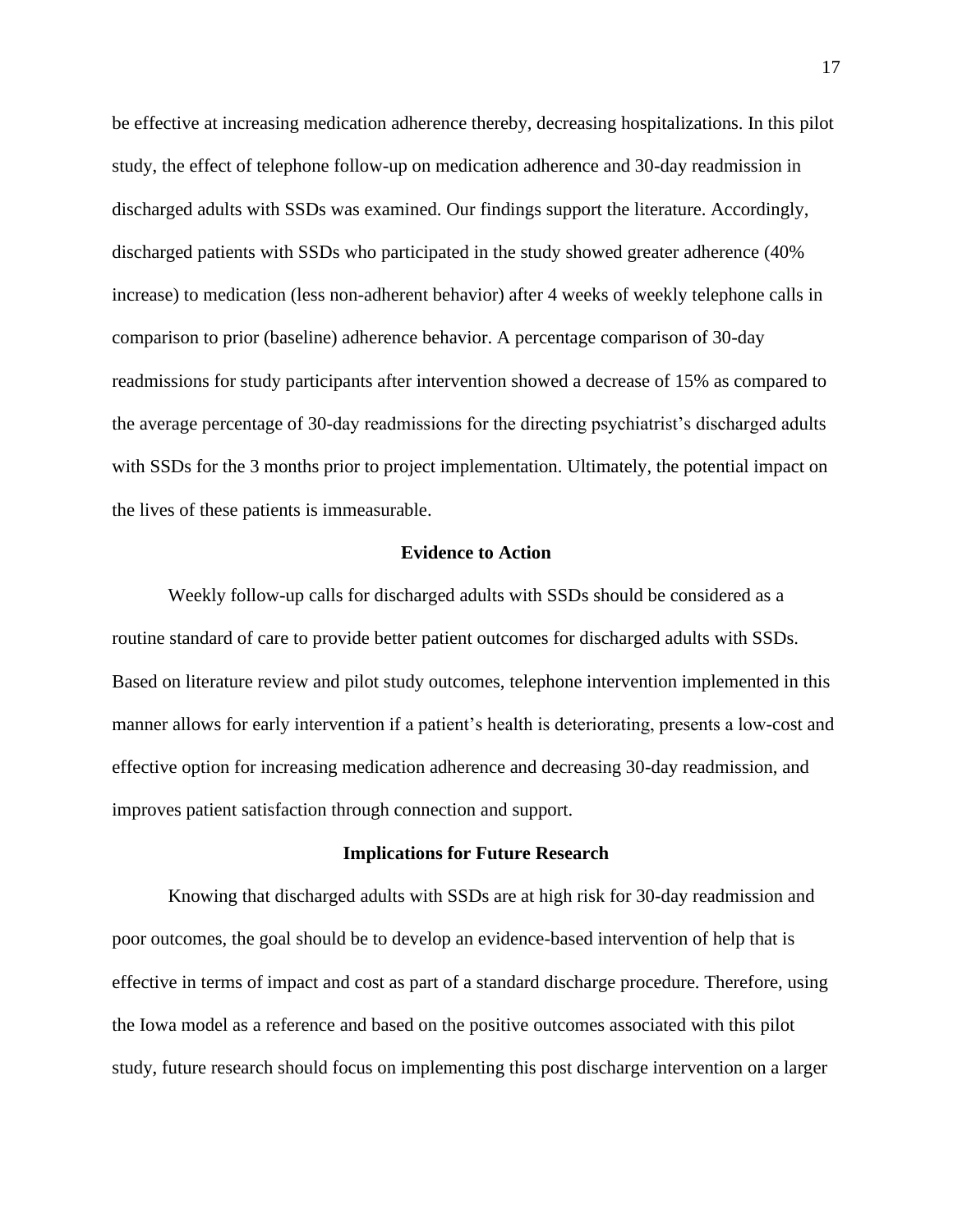be effective at increasing medication adherence thereby, decreasing hospitalizations. In this pilot study, the effect of telephone follow-up on medication adherence and 30-day readmission in discharged adults with SSDs was examined. Our findings support the literature. Accordingly, discharged patients with SSDs who participated in the study showed greater adherence (40% increase) to medication (less non-adherent behavior) after 4 weeks of weekly telephone calls in comparison to prior (baseline) adherence behavior. A percentage comparison of 30-day readmissions for study participants after intervention showed a decrease of 15% as compared to the average percentage of 30-day readmissions for the directing psychiatrist's discharged adults with SSDs for the 3 months prior to project implementation. Ultimately, the potential impact on the lives of these patients is immeasurable.

# **Evidence to Action**

Weekly follow-up calls for discharged adults with SSDs should be considered as a routine standard of care to provide better patient outcomes for discharged adults with SSDs. Based on literature review and pilot study outcomes, telephone intervention implemented in this manner allows for early intervention if a patient's health is deteriorating, presents a low-cost and effective option for increasing medication adherence and decreasing 30-day readmission, and improves patient satisfaction through connection and support.

#### **Implications for Future Research**

Knowing that discharged adults with SSDs are at high risk for 30-day readmission and poor outcomes, the goal should be to develop an evidence-based intervention of help that is effective in terms of impact and cost as part of a standard discharge procedure. Therefore, using the Iowa model as a reference and based on the positive outcomes associated with this pilot study, future research should focus on implementing this post discharge intervention on a larger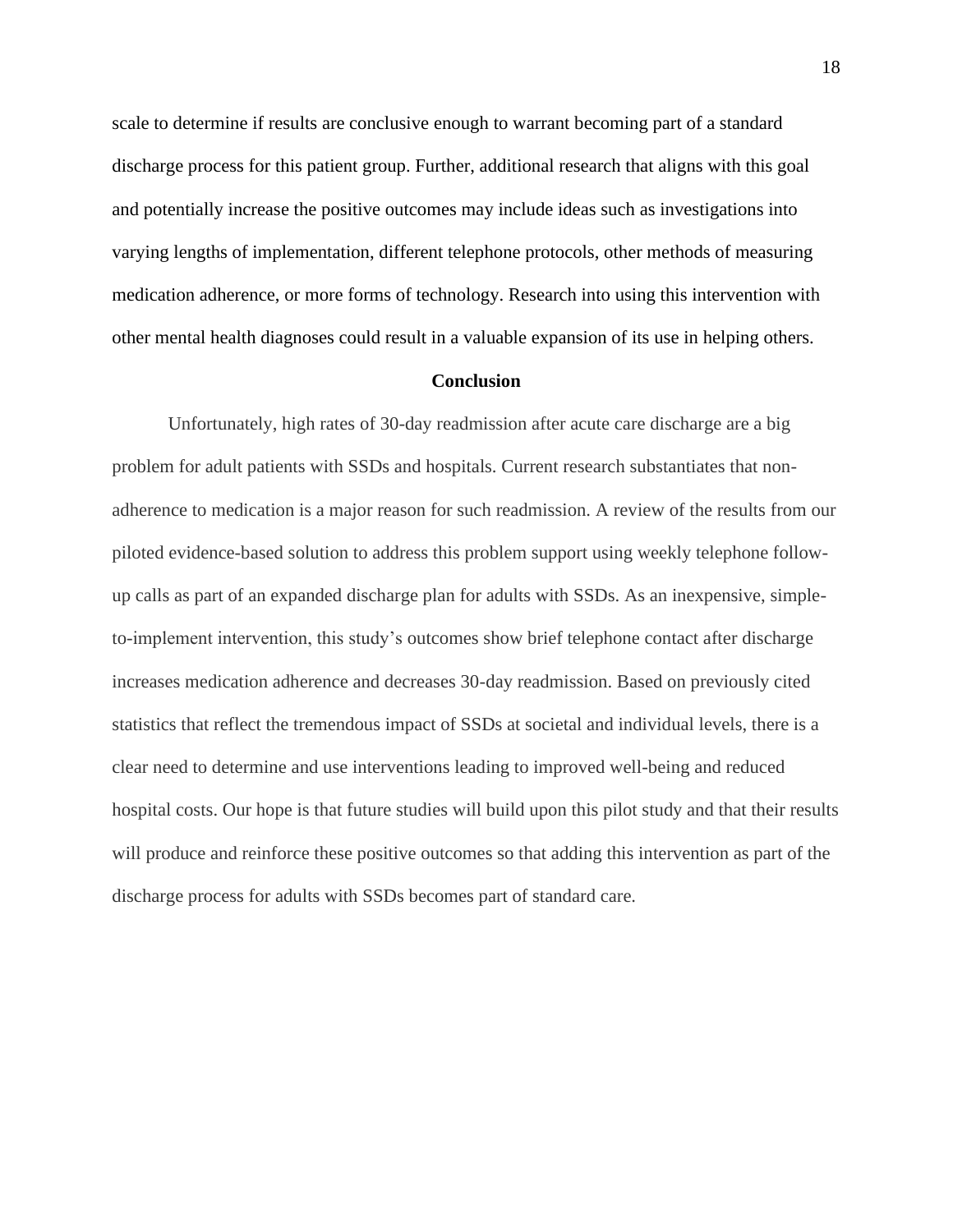scale to determine if results are conclusive enough to warrant becoming part of a standard discharge process for this patient group. Further, additional research that aligns with this goal and potentially increase the positive outcomes may include ideas such as investigations into varying lengths of implementation, different telephone protocols, other methods of measuring medication adherence, or more forms of technology. Research into using this intervention with other mental health diagnoses could result in a valuable expansion of its use in helping others.

#### **Conclusion**

Unfortunately, high rates of 30-day readmission after acute care discharge are a big problem for adult patients with SSDs and hospitals. Current research substantiates that nonadherence to medication is a major reason for such readmission. A review of the results from our piloted evidence-based solution to address this problem support using weekly telephone followup calls as part of an expanded discharge plan for adults with SSDs. As an inexpensive, simpleto-implement intervention, this study's outcomes show brief telephone contact after discharge increases medication adherence and decreases 30-day readmission. Based on previously cited statistics that reflect the tremendous impact of SSDs at societal and individual levels, there is a clear need to determine and use interventions leading to improved well-being and reduced hospital costs. Our hope is that future studies will build upon this pilot study and that their results will produce and reinforce these positive outcomes so that adding this intervention as part of the discharge process for adults with SSDs becomes part of standard care.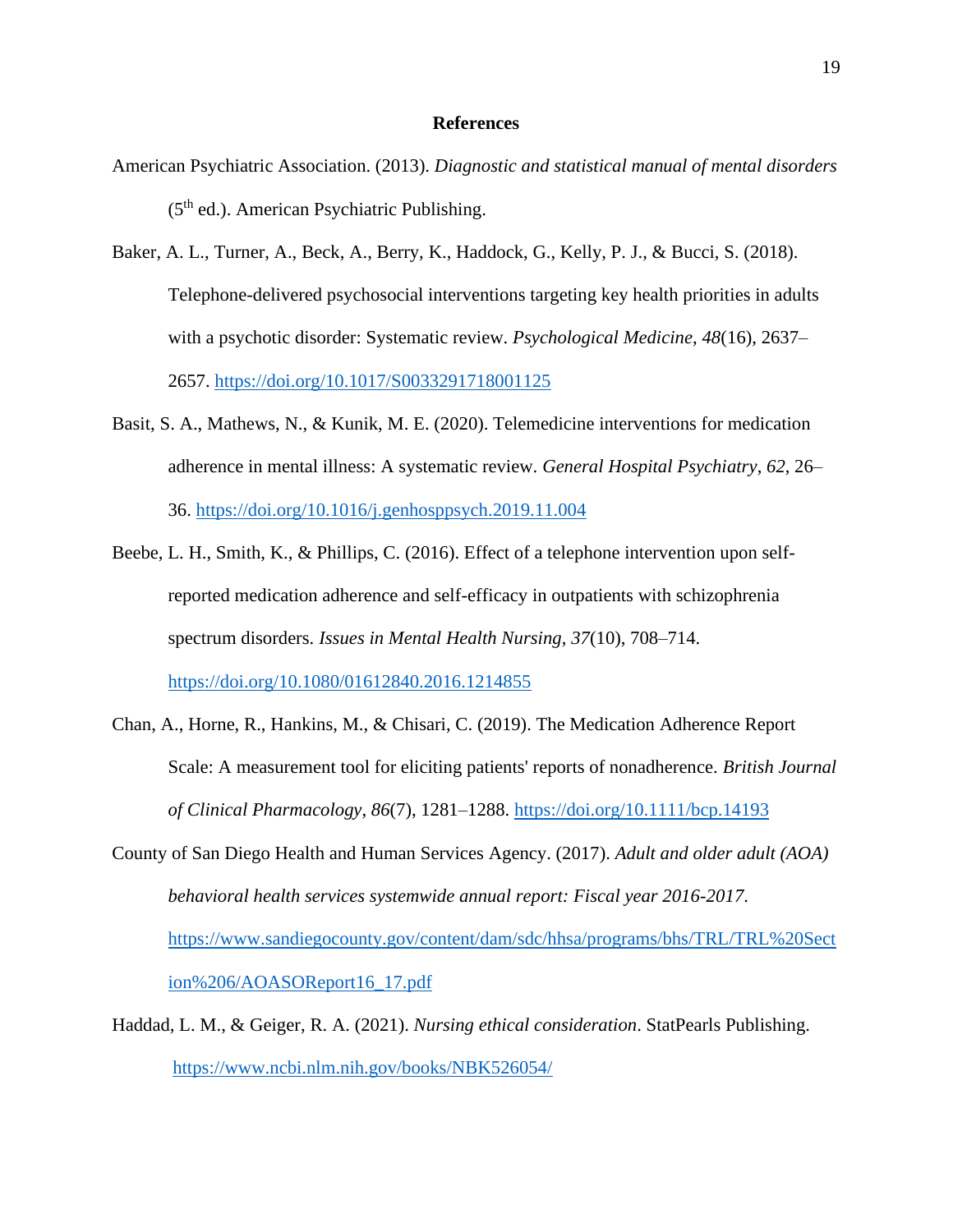## **References**

- American Psychiatric Association. (2013). *Diagnostic and statistical manual of mental disorders* (5th ed.). American Psychiatric Publishing.
- Baker, A. L., Turner, A., Beck, A., Berry, K., Haddock, G., Kelly, P. J., & Bucci, S. (2018). Telephone-delivered psychosocial interventions targeting key health priorities in adults with a psychotic disorder: Systematic review. *Psychological Medicine*, *48*(16), 2637– 2657.<https://doi.org/10.1017/S0033291718001125>
- Basit, S. A., Mathews, N., & Kunik, M. E. (2020). Telemedicine interventions for medication adherence in mental illness: A systematic review. *General Hospital Psychiatry*, *62*, 26– 36.<https://doi.org/10.1016/j.genhosppsych.2019.11.004>
- Beebe, L. H., Smith, K., & Phillips, C. (2016). Effect of a telephone intervention upon selfreported medication adherence and self-efficacy in outpatients with schizophrenia spectrum disorders. *Issues in Mental Health Nursing*, *37*(10), 708–714. <https://doi.org/10.1080/01612840.2016.1214855>
- Chan, A., Horne, R., Hankins, M., & Chisari, C. (2019). The Medication Adherence Report Scale: A measurement tool for eliciting patients' reports of nonadherence. *British Journal of Clinical Pharmacology*, *86*(7), 1281–1288.<https://doi.org/10.1111/bcp.14193>
- County of San Diego Health and Human Services Agency. (2017). *Adult and older adult (AOA) behavioral health services systemwide annual report: Fiscal year 2016-2017*. [https://www.sandiegocounty.gov/content/dam/sdc/hhsa/programs/bhs/TRL/TRL%20Sect](https://www.sandiegocounty.gov/content/dam/sdc/hhsa/programs/bhs/TRL/TRL%20Section%206/AOASOReport16_17.pdf) [ion%206/AOASOReport16\\_17.pdf](https://www.sandiegocounty.gov/content/dam/sdc/hhsa/programs/bhs/TRL/TRL%20Section%206/AOASOReport16_17.pdf)
- Haddad, L. M., & Geiger, R. A. (2021). *Nursing ethical consideration*. StatPearls Publishing. <https://www.ncbi.nlm.nih.gov/books/NBK526054/>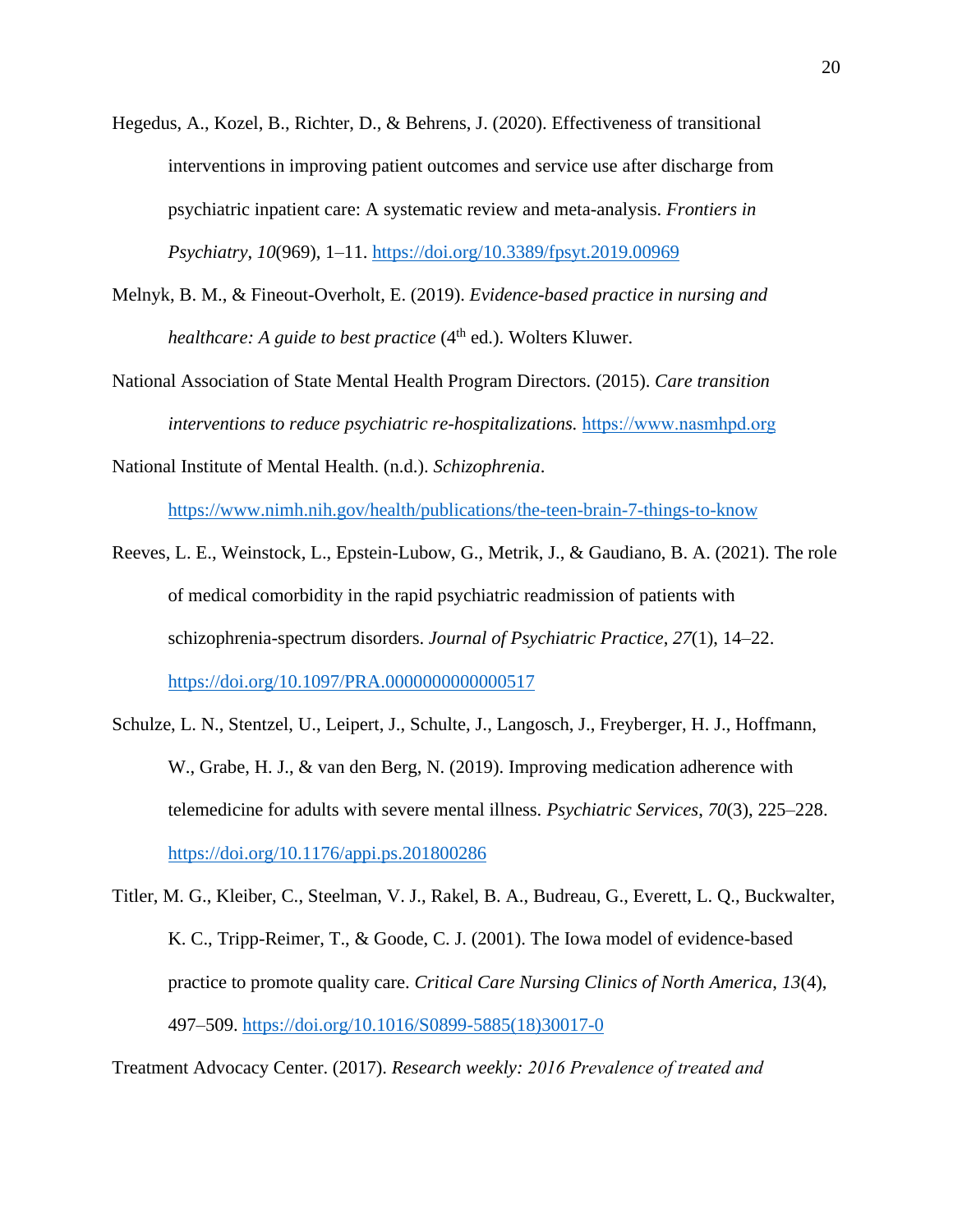- Hegedus, A., Kozel, B., Richter, D., & Behrens, J. (2020). Effectiveness of transitional interventions in improving patient outcomes and service use after discharge from psychiatric inpatient care: A systematic review and meta-analysis. *Frontiers in Psychiatry*, *10*(969), 1–11.<https://doi.org/10.3389/fpsyt.2019.00969>
- Melnyk, B. M., & Fineout-Overholt, E. (2019). *Evidence-based practice in nursing and healthcare: A guide to best practice* (4<sup>th</sup> ed.). Wolters Kluwer.
- National Association of State Mental Health Program Directors. (2015). *Care transition interventions to reduce psychiatric re-hospitalizations.* [https://www.nasmhpd.org](https://www.nasmhpd.org/)

National Institute of Mental Health. (n.d.). *Schizophrenia*.

<https://www.nimh.nih.gov/health/publications/the-teen-brain-7-things-to-know>

- Reeves, L. E., Weinstock, L., Epstein-Lubow, G., Metrik, J., & Gaudiano, B. A. (2021). The role of medical comorbidity in the rapid psychiatric readmission of patients with schizophrenia-spectrum disorders. *Journal of Psychiatric Practice*, *27*(1), 14–22. <https://doi.org/10.1097/PRA.0000000000000517>
- Schulze, L. N., Stentzel, U., Leipert, J., Schulte, J., Langosch, J., Freyberger, H. J., Hoffmann, W., Grabe, H. J., & van den Berg, N. (2019). Improving medication adherence with telemedicine for adults with severe mental illness. *Psychiatric Services*, *70*(3), 225–228. <https://doi.org/10.1176/appi.ps.201800286>
- Titler, M. G., Kleiber, C., Steelman, V. J., Rakel, B. A., Budreau, G., Everett, L. Q., Buckwalter, K. C., Tripp-Reimer, T., & Goode, C. J. (2001). The Iowa model of evidence-based practice to promote quality care. *Critical Care Nursing Clinics of North America*, *13*(4), 497–509. [https://doi.org/10.1016/S0899-5885\(18\)30017-0](https://doi.org/10.1016/S0899-5885(18)30017-0)

Treatment Advocacy Center. (2017). *Research weekly: 2016 Prevalence of treated and*